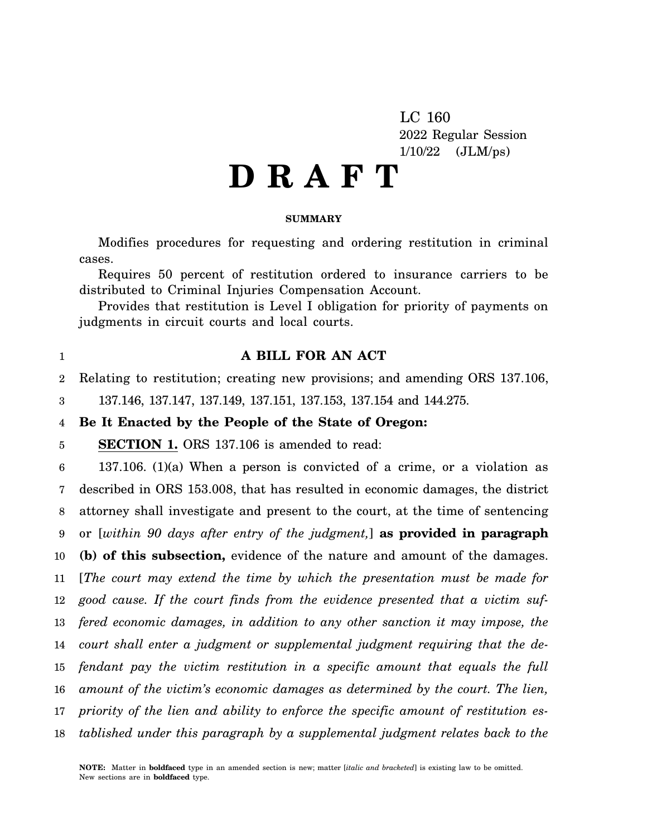LC 160 2022 Regular Session  $1/10/22$  (JLM/ps)

# **D R A F T**

#### **SUMMARY**

Modifies procedures for requesting and ordering restitution in criminal cases.

Requires 50 percent of restitution ordered to insurance carriers to be distributed to Criminal Injuries Compensation Account.

Provides that restitution is Level I obligation for priority of payments on judgments in circuit courts and local courts.

1

## **A BILL FOR AN ACT**

2 Relating to restitution; creating new provisions; and amending ORS 137.106,

3 137.146, 137.147, 137.149, 137.151, 137.153, 137.154 and 144.275.

#### 4 **Be It Enacted by the People of the State of Oregon:**

5 **SECTION 1.** ORS 137.106 is amended to read:

6 7 8 9 10 11 12 13 14 15 16 17 18 137.106. (1)(a) When a person is convicted of a crime, or a violation as described in ORS 153.008, that has resulted in economic damages, the district attorney shall investigate and present to the court, at the time of sentencing or [*within 90 days after entry of the judgment,*] **as provided in paragraph (b) of this subsection,** evidence of the nature and amount of the damages. [*The court may extend the time by which the presentation must be made for good cause. If the court finds from the evidence presented that a victim suffered economic damages, in addition to any other sanction it may impose, the court shall enter a judgment or supplemental judgment requiring that the defendant pay the victim restitution in a specific amount that equals the full amount of the victim's economic damages as determined by the court. The lien, priority of the lien and ability to enforce the specific amount of restitution established under this paragraph by a supplemental judgment relates back to the*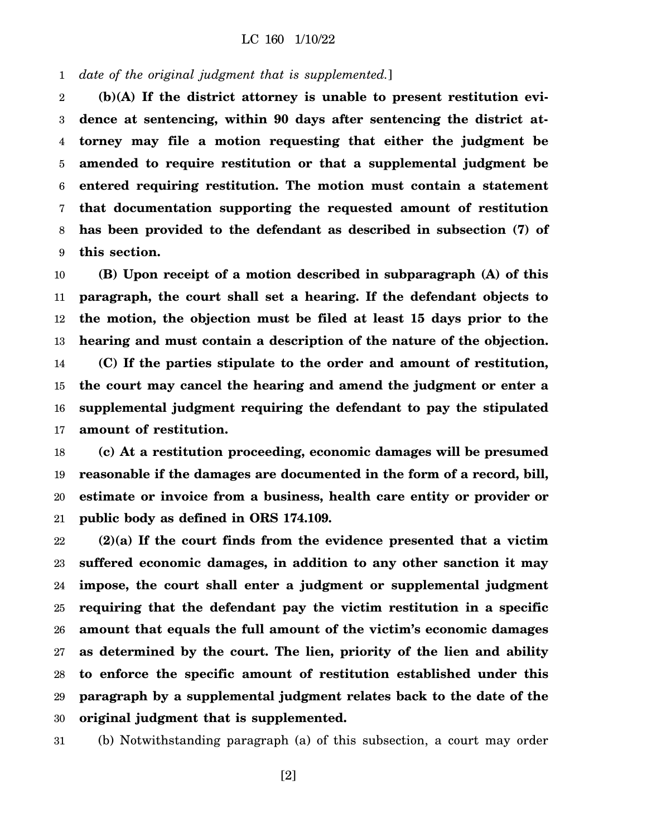#### 1 *date of the original judgment that is supplemented.*]

2 3 4 5 6 7 8 9 **(b)(A) If the district attorney is unable to present restitution evidence at sentencing, within 90 days after sentencing the district attorney may file a motion requesting that either the judgment be amended to require restitution or that a supplemental judgment be entered requiring restitution. The motion must contain a statement that documentation supporting the requested amount of restitution has been provided to the defendant as described in subsection (7) of this section.**

10 11 12 13 14 15 16 17 **(B) Upon receipt of a motion described in subparagraph (A) of this paragraph, the court shall set a hearing. If the defendant objects to the motion, the objection must be filed at least 15 days prior to the hearing and must contain a description of the nature of the objection. (C) If the parties stipulate to the order and amount of restitution, the court may cancel the hearing and amend the judgment or enter a supplemental judgment requiring the defendant to pay the stipulated amount of restitution.**

18 19 20 21 **(c) At a restitution proceeding, economic damages will be presumed reasonable if the damages are documented in the form of a record, bill, estimate or invoice from a business, health care entity or provider or public body as defined in ORS 174.109.**

22 23 24 25 26 27 28 29 30 **(2)(a) If the court finds from the evidence presented that a victim suffered economic damages, in addition to any other sanction it may impose, the court shall enter a judgment or supplemental judgment requiring that the defendant pay the victim restitution in a specific amount that equals the full amount of the victim's economic damages as determined by the court. The lien, priority of the lien and ability to enforce the specific amount of restitution established under this paragraph by a supplemental judgment relates back to the date of the original judgment that is supplemented.**

31 (b) Notwithstanding paragraph (a) of this subsection, a court may order

[2]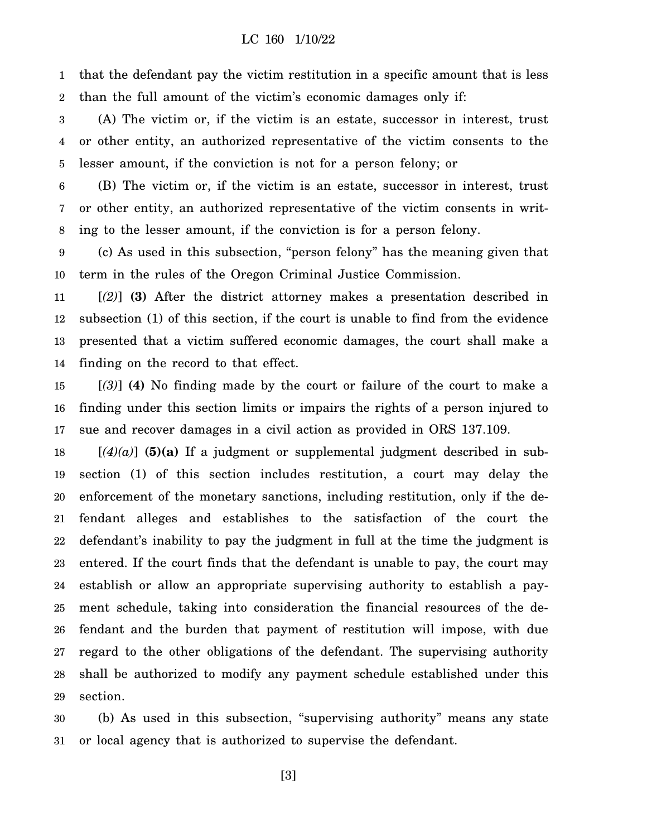1 2 that the defendant pay the victim restitution in a specific amount that is less than the full amount of the victim's economic damages only if:

3 4 5 (A) The victim or, if the victim is an estate, successor in interest, trust or other entity, an authorized representative of the victim consents to the lesser amount, if the conviction is not for a person felony; or

6 7 8 (B) The victim or, if the victim is an estate, successor in interest, trust or other entity, an authorized representative of the victim consents in writing to the lesser amount, if the conviction is for a person felony.

9 10 (c) As used in this subsection, "person felony" has the meaning given that term in the rules of the Oregon Criminal Justice Commission.

11 12 13 14 [*(2)*] **(3)** After the district attorney makes a presentation described in subsection (1) of this section, if the court is unable to find from the evidence presented that a victim suffered economic damages, the court shall make a finding on the record to that effect.

15 16 17 [*(3)*] **(4)** No finding made by the court or failure of the court to make a finding under this section limits or impairs the rights of a person injured to sue and recover damages in a civil action as provided in ORS 137.109.

18 19 20 21 22 23 24 25 26 27 28 29  $[(4)(a)]$  (5)(a) If a judgment or supplemental judgment described in subsection (1) of this section includes restitution, a court may delay the enforcement of the monetary sanctions, including restitution, only if the defendant alleges and establishes to the satisfaction of the court the defendant's inability to pay the judgment in full at the time the judgment is entered. If the court finds that the defendant is unable to pay, the court may establish or allow an appropriate supervising authority to establish a payment schedule, taking into consideration the financial resources of the defendant and the burden that payment of restitution will impose, with due regard to the other obligations of the defendant. The supervising authority shall be authorized to modify any payment schedule established under this section.

30 31 (b) As used in this subsection, "supervising authority" means any state or local agency that is authorized to supervise the defendant.

[3]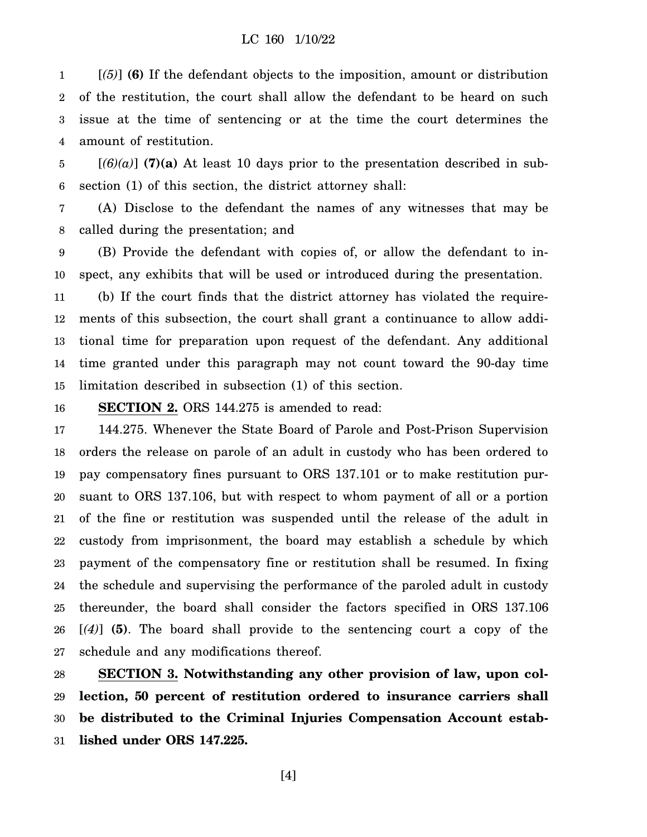1 2 3 4 [*(5)*] **(6)** If the defendant objects to the imposition, amount or distribution of the restitution, the court shall allow the defendant to be heard on such issue at the time of sentencing or at the time the court determines the amount of restitution.

5 6  $[(6)(a)]$  (7)(a) At least 10 days prior to the presentation described in subsection (1) of this section, the district attorney shall:

7 8 (A) Disclose to the defendant the names of any witnesses that may be called during the presentation; and

9 10 (B) Provide the defendant with copies of, or allow the defendant to inspect, any exhibits that will be used or introduced during the presentation.

11 12 13 14 15 (b) If the court finds that the district attorney has violated the requirements of this subsection, the court shall grant a continuance to allow additional time for preparation upon request of the defendant. Any additional time granted under this paragraph may not count toward the 90-day time limitation described in subsection (1) of this section.

16

**SECTION 2.** ORS 144.275 is amended to read:

17 18 19 20 21 22 23 24 25 26 27 144.275. Whenever the State Board of Parole and Post-Prison Supervision orders the release on parole of an adult in custody who has been ordered to pay compensatory fines pursuant to ORS 137.101 or to make restitution pursuant to ORS 137.106, but with respect to whom payment of all or a portion of the fine or restitution was suspended until the release of the adult in custody from imprisonment, the board may establish a schedule by which payment of the compensatory fine or restitution shall be resumed. In fixing the schedule and supervising the performance of the paroled adult in custody thereunder, the board shall consider the factors specified in ORS 137.106 [*(4)*] **(5)**. The board shall provide to the sentencing court a copy of the schedule and any modifications thereof.

28 29 30 31 **SECTION 3. Notwithstanding any other provision of law, upon collection, 50 percent of restitution ordered to insurance carriers shall be distributed to the Criminal Injuries Compensation Account established under ORS 147.225.**

[4]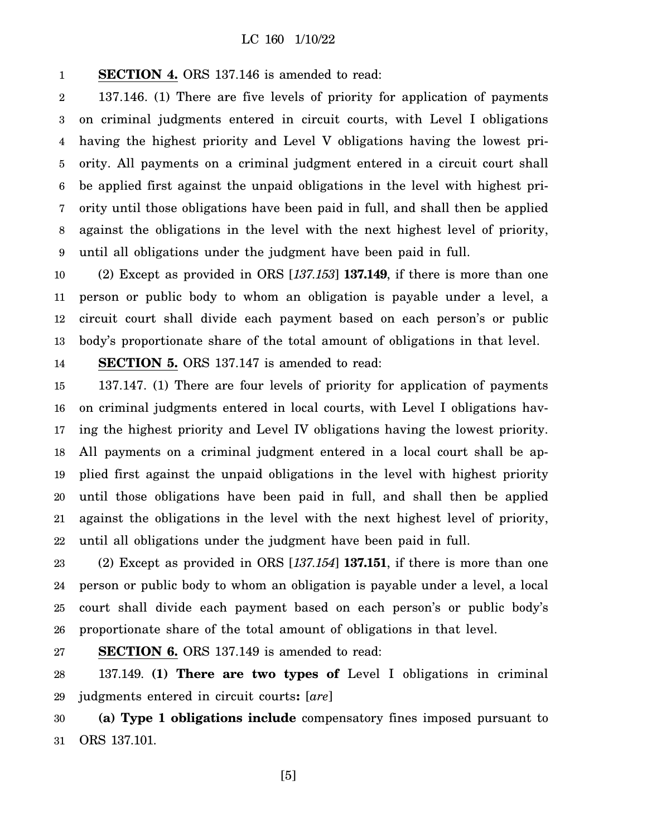1 **SECTION 4.** ORS 137.146 is amended to read:

2 3 4 5 6 7 8 9 137.146. (1) There are five levels of priority for application of payments on criminal judgments entered in circuit courts, with Level I obligations having the highest priority and Level V obligations having the lowest priority. All payments on a criminal judgment entered in a circuit court shall be applied first against the unpaid obligations in the level with highest priority until those obligations have been paid in full, and shall then be applied against the obligations in the level with the next highest level of priority, until all obligations under the judgment have been paid in full.

10 11 12 13 (2) Except as provided in ORS [*137.153*] **137.149**, if there is more than one person or public body to whom an obligation is payable under a level, a circuit court shall divide each payment based on each person's or public body's proportionate share of the total amount of obligations in that level.

14 **SECTION 5.** ORS 137.147 is amended to read:

15 16 17 18 19 20 21 22 137.147. (1) There are four levels of priority for application of payments on criminal judgments entered in local courts, with Level I obligations having the highest priority and Level IV obligations having the lowest priority. All payments on a criminal judgment entered in a local court shall be applied first against the unpaid obligations in the level with highest priority until those obligations have been paid in full, and shall then be applied against the obligations in the level with the next highest level of priority, until all obligations under the judgment have been paid in full.

23 24 25 26 (2) Except as provided in ORS [*137.154*] **137.151**, if there is more than one person or public body to whom an obligation is payable under a level, a local court shall divide each payment based on each person's or public body's proportionate share of the total amount of obligations in that level.

27 **SECTION 6.** ORS 137.149 is amended to read:

28 29 137.149. **(1) There are two types of** Level I obligations in criminal judgments entered in circuit courts**:** [*are*]

30 31 **(a) Type 1 obligations include** compensatory fines imposed pursuant to ORS 137.101.

[5]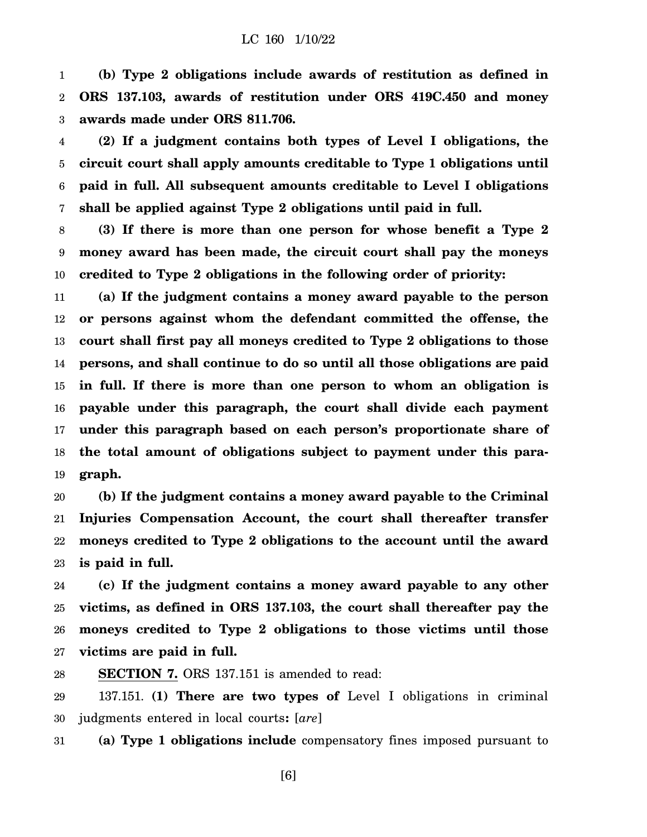1 2 3 **(b) Type 2 obligations include awards of restitution as defined in ORS 137.103, awards of restitution under ORS 419C.450 and money awards made under ORS 811.706.**

4 5 6 7 **(2) If a judgment contains both types of Level I obligations, the circuit court shall apply amounts creditable to Type 1 obligations until paid in full. All subsequent amounts creditable to Level I obligations shall be applied against Type 2 obligations until paid in full.**

8 9 10 **(3) If there is more than one person for whose benefit a Type 2 money award has been made, the circuit court shall pay the moneys credited to Type 2 obligations in the following order of priority:**

11 12 13 14 15 16 17 18 19 **(a) If the judgment contains a money award payable to the person or persons against whom the defendant committed the offense, the court shall first pay all moneys credited to Type 2 obligations to those persons, and shall continue to do so until all those obligations are paid in full. If there is more than one person to whom an obligation is payable under this paragraph, the court shall divide each payment under this paragraph based on each person's proportionate share of the total amount of obligations subject to payment under this paragraph.**

20 21 22 23 **(b) If the judgment contains a money award payable to the Criminal Injuries Compensation Account, the court shall thereafter transfer moneys credited to Type 2 obligations to the account until the award is paid in full.**

24 25 26 27 **(c) If the judgment contains a money award payable to any other victims, as defined in ORS 137.103, the court shall thereafter pay the moneys credited to Type 2 obligations to those victims until those victims are paid in full.**

28 **SECTION 7.** ORS 137.151 is amended to read:

29 30 137.151. **(1) There are two types of** Level I obligations in criminal judgments entered in local courts**:** [*are*]

31 **(a) Type 1 obligations include** compensatory fines imposed pursuant to

[6]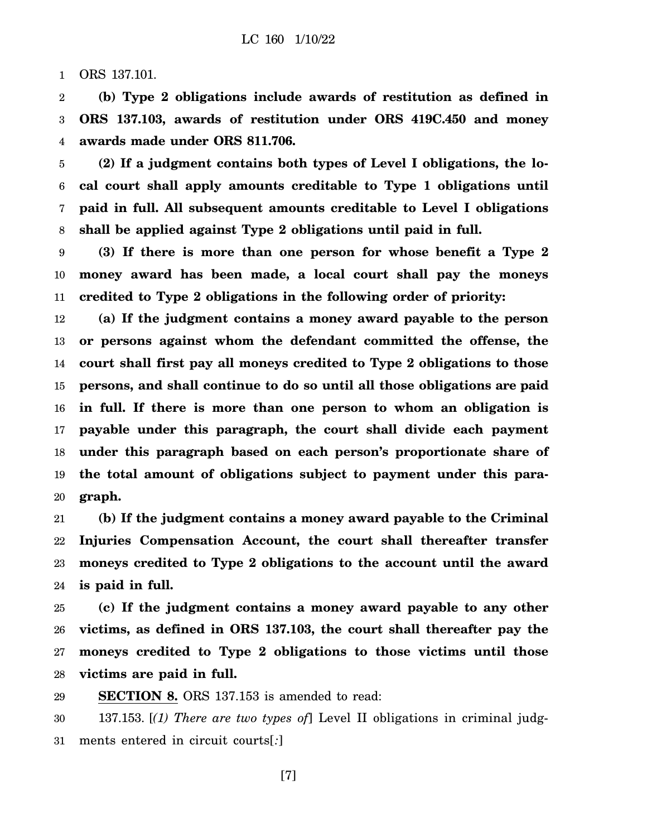1 ORS 137.101.

2 3 4 **(b) Type 2 obligations include awards of restitution as defined in ORS 137.103, awards of restitution under ORS 419C.450 and money awards made under ORS 811.706.**

5 6 7 8 **(2) If a judgment contains both types of Level I obligations, the local court shall apply amounts creditable to Type 1 obligations until paid in full. All subsequent amounts creditable to Level I obligations shall be applied against Type 2 obligations until paid in full.**

9 10 11 **(3) If there is more than one person for whose benefit a Type 2 money award has been made, a local court shall pay the moneys credited to Type 2 obligations in the following order of priority:**

12 13 14 15 16 17 18 19 20 **(a) If the judgment contains a money award payable to the person or persons against whom the defendant committed the offense, the court shall first pay all moneys credited to Type 2 obligations to those persons, and shall continue to do so until all those obligations are paid in full. If there is more than one person to whom an obligation is payable under this paragraph, the court shall divide each payment under this paragraph based on each person's proportionate share of the total amount of obligations subject to payment under this paragraph.**

21 22 23 24 **(b) If the judgment contains a money award payable to the Criminal Injuries Compensation Account, the court shall thereafter transfer moneys credited to Type 2 obligations to the account until the award is paid in full.**

25 26 27 28 **(c) If the judgment contains a money award payable to any other victims, as defined in ORS 137.103, the court shall thereafter pay the moneys credited to Type 2 obligations to those victims until those victims are paid in full.**

29 **SECTION 8.** ORS 137.153 is amended to read:

30 31 137.153. [*(1) There are two types of*] Level II obligations in criminal judgments entered in circuit courts[*:*]

[7]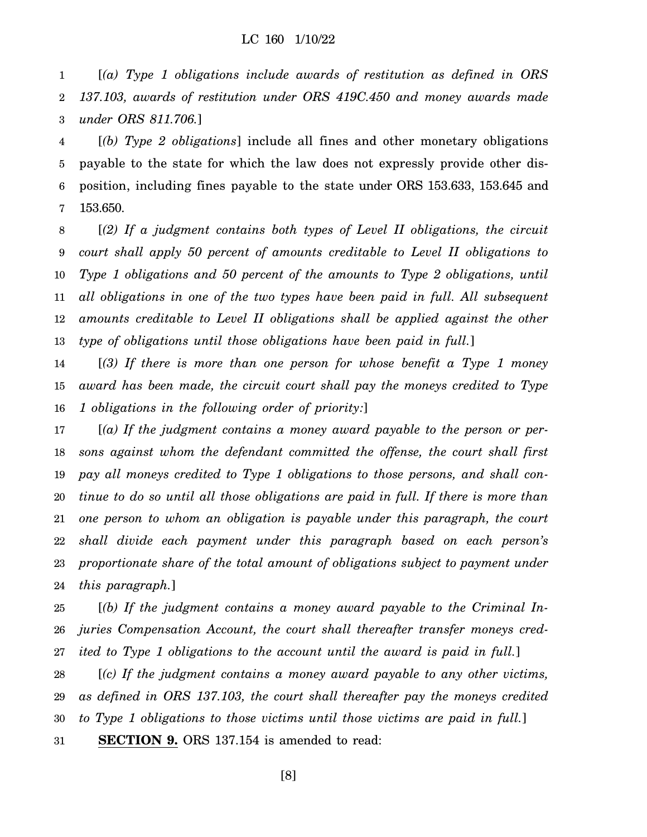1 2 3 [*(a) Type 1 obligations include awards of restitution as defined in ORS 137.103, awards of restitution under ORS 419C.450 and money awards made under ORS 811.706.*]

4 5 6 7 [*(b) Type 2 obligations*] include all fines and other monetary obligations payable to the state for which the law does not expressly provide other disposition, including fines payable to the state under ORS 153.633, 153.645 and 153.650.

8 9 10 11 12 13 [*(2) If a judgment contains both types of Level II obligations, the circuit court shall apply 50 percent of amounts creditable to Level II obligations to Type 1 obligations and 50 percent of the amounts to Type 2 obligations, until all obligations in one of the two types have been paid in full. All subsequent amounts creditable to Level II obligations shall be applied against the other type of obligations until those obligations have been paid in full.*]

14 15 16 [*(3) If there is more than one person for whose benefit a Type 1 money award has been made, the circuit court shall pay the moneys credited to Type 1 obligations in the following order of priority:*]

17 18 19 20 21 22 23 24 [*(a) If the judgment contains a money award payable to the person or persons against whom the defendant committed the offense, the court shall first pay all moneys credited to Type 1 obligations to those persons, and shall continue to do so until all those obligations are paid in full. If there is more than one person to whom an obligation is payable under this paragraph, the court shall divide each payment under this paragraph based on each person's proportionate share of the total amount of obligations subject to payment under this paragraph.*]

25 26 27 [*(b) If the judgment contains a money award payable to the Criminal Injuries Compensation Account, the court shall thereafter transfer moneys credited to Type 1 obligations to the account until the award is paid in full.*]

28 29 30 31 [*(c) If the judgment contains a money award payable to any other victims, as defined in ORS 137.103, the court shall thereafter pay the moneys credited to Type 1 obligations to those victims until those victims are paid in full.*] **SECTION 9.** ORS 137.154 is amended to read:

[8]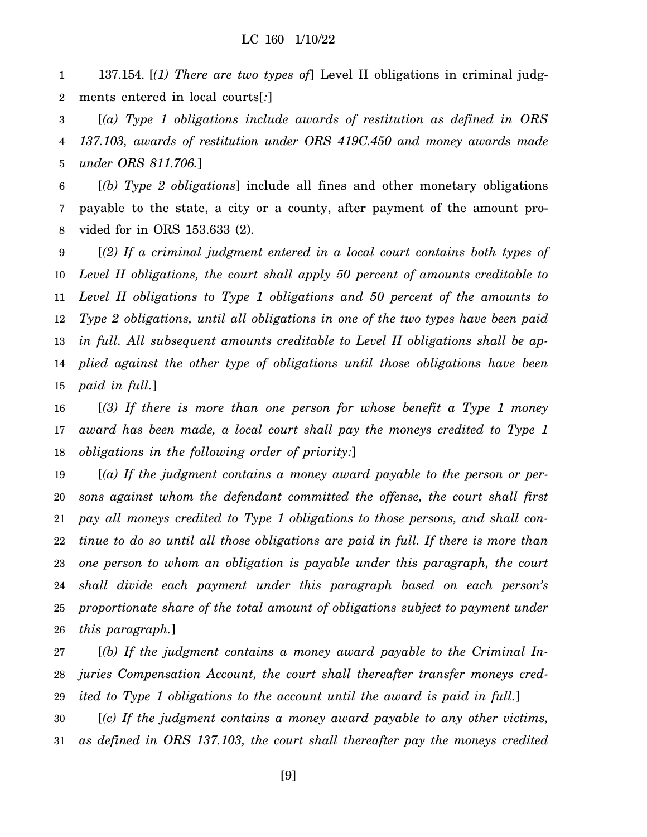1 2 137.154. [*(1) There are two types of*] Level II obligations in criminal judgments entered in local courts[*:*]

3 4 5 [*(a) Type 1 obligations include awards of restitution as defined in ORS 137.103, awards of restitution under ORS 419C.450 and money awards made under ORS 811.706.*]

6 7 8 [*(b) Type 2 obligations*] include all fines and other monetary obligations payable to the state, a city or a county, after payment of the amount provided for in ORS 153.633 (2).

9 10 11 12 13 14 15 [*(2) If a criminal judgment entered in a local court contains both types of Level II obligations, the court shall apply 50 percent of amounts creditable to Level II obligations to Type 1 obligations and 50 percent of the amounts to Type 2 obligations, until all obligations in one of the two types have been paid in full. All subsequent amounts creditable to Level II obligations shall be applied against the other type of obligations until those obligations have been paid in full.*]

16 17 18 [*(3) If there is more than one person for whose benefit a Type 1 money award has been made, a local court shall pay the moneys credited to Type 1 obligations in the following order of priority:*]

19 20 21 22 23 24 25 26 [*(a) If the judgment contains a money award payable to the person or persons against whom the defendant committed the offense, the court shall first pay all moneys credited to Type 1 obligations to those persons, and shall continue to do so until all those obligations are paid in full. If there is more than one person to whom an obligation is payable under this paragraph, the court shall divide each payment under this paragraph based on each person's proportionate share of the total amount of obligations subject to payment under this paragraph.*]

27 28 [*(b) If the judgment contains a money award payable to the Criminal Injuries Compensation Account, the court shall thereafter transfer moneys cred-*

29 30 *ited to Type 1 obligations to the account until the award is paid in full.*] [*(c) If the judgment contains a money award payable to any other victims,*

31 *as defined in ORS 137.103, the court shall thereafter pay the moneys credited*

[9]